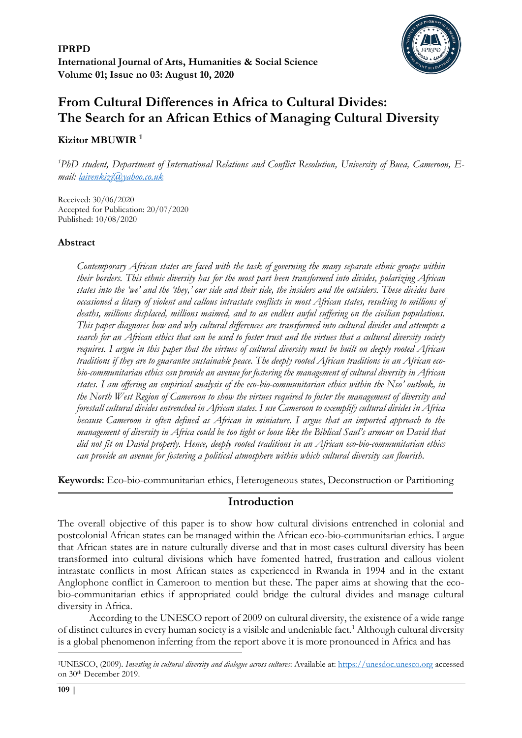

# **From Cultural Differences in Africa to Cultural Divides: The Search for an African Ethics of Managing Cultural Diversity**

### **Kizitor MBUWIR <sup>1</sup>**

*<sup>1</sup>PhD student, Department of International Relations and Conflict Resolution, University of Buea, Cameroon, Email: [laivenkizi@yahoo.co.uk](mailto:laivenkizi@yahoo.co.uk)* 

Received: 30/06/2020 Accepted for Publication: 20/07/2020 Published: 10/08/2020

### **Abstract**

*Contemporary African states are faced with the task of governing the many separate ethnic groups within their borders. This ethnic diversity has for the most part been transformed into divides, polarizing African states into the 'we' and the 'they,' our side and their side, the insiders and the outsiders. These divides have occasioned a litany of violent and callous intrastate conflicts in most African states, resulting to millions of deaths, millions displaced, millions maimed, and to an endless awful suffering on the civilian populations. This paper diagnoses how and why cultural differences are transformed into cultural divides and attempts a search for an African ethics that can be used to foster trust and the virtues that a cultural diversity society requires. I argue in this paper that the virtues of cultural diversity must be built on deeply rooted African traditions if they are to guarantee sustainable peace. The deeply rooted African traditions in an African ecobio-communitarian ethics can provide an avenue for fostering the management of cultural diversity in African states. I am offering an empirical analysis of the eco-bio-communitarian ethics within the Nso' outlook, in the North West Region of Cameroon to show the virtues required to foster the management of diversity and forestall cultural divides entrenched in African states. I use Cameroon to exemplify cultural divides in Africa because Cameroon is often defined as African in miniature. I argue that an imported approach to the management of diversity in Africa could be too tight or loose like the Biblical Saul's armour on David that did not fit on David properly. Hence, deeply rooted traditions in an African eco-bio-communitarian ethics can provide an avenue for fostering a political atmosphere within which cultural diversity can flourish.* 

**Keywords:** Eco-bio-communitarian ethics, Heterogeneous states, Deconstruction or Partitioning

### **Introduction**

The overall objective of this paper is to show how cultural divisions entrenched in colonial and postcolonial African states can be managed within the African eco-bio-communitarian ethics. I argue that African states are in nature culturally diverse and that in most cases cultural diversity has been transformed into cultural divisions which have fomented hatred, frustration and callous violent intrastate conflicts in most African states as experienced in Rwanda in 1994 and in the extant Anglophone conflict in Cameroon to mention but these. The paper aims at showing that the ecobio-communitarian ethics if appropriated could bridge the cultural divides and manage cultural diversity in Africa.

According to the UNESCO report of 2009 on cultural diversity, the existence of a wide range of distinct cultures in every human society is a visible and undeniable fact.<sup>1</sup> Although cultural diversity is a global phenomenon inferring from the report above it is more pronounced in Africa and has

<sup>1</sup>UNESCO, (2009). *Investing in cultural diversity and dialogue across cultures*: Available at[: https://unesdoc.unesco.org](https://unesdoc.unesco.org/) accessed on 30th December 2019.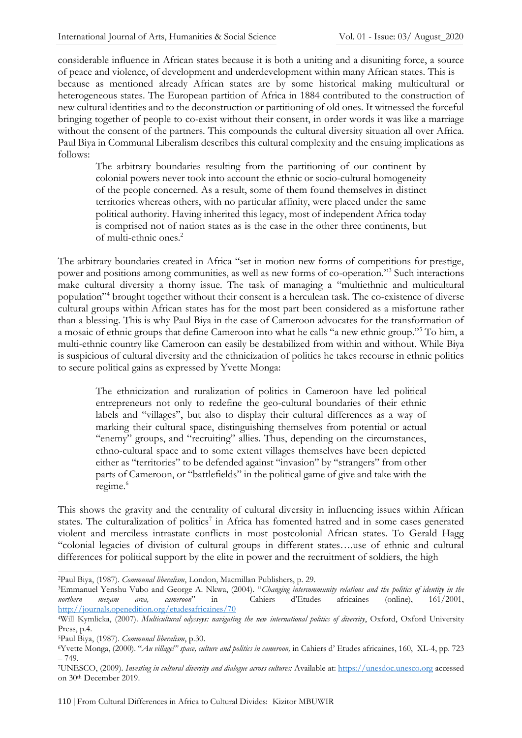considerable influence in African states because it is both a uniting and a disuniting force, a source of peace and violence, of development and underdevelopment within many African states. This is because as mentioned already African states are by some historical making multicultural or heterogeneous states. The European partition of Africa in 1884 contributed to the construction of new cultural identities and to the deconstruction or partitioning of old ones. It witnessed the forceful bringing together of people to co-exist without their consent, in order words it was like a marriage without the consent of the partners. This compounds the cultural diversity situation all over Africa. Paul Biya in Communal Liberalism describes this cultural complexity and the ensuing implications as follows:

The arbitrary boundaries resulting from the partitioning of our continent by colonial powers never took into account the ethnic or socio-cultural homogeneity of the people concerned. As a result, some of them found themselves in distinct territories whereas others, with no particular affinity, were placed under the same political authority. Having inherited this legacy, most of independent Africa today is comprised not of nation states as is the case in the other three continents, but of multi-ethnic ones.<sup>2</sup>

The arbitrary boundaries created in Africa "set in motion new forms of competitions for prestige, power and positions among communities, as well as new forms of co-operation."<sup>3</sup> Such interactions make cultural diversity a thorny issue. The task of managing a "multiethnic and multicultural population"<sup>4</sup> brought together without their consent is a herculean task. The co-existence of diverse cultural groups within African states has for the most part been considered as a misfortune rather than a blessing. This is why Paul Biya in the case of Cameroon advocates for the transformation of a mosaic of ethnic groups that define Cameroon into what he calls "a new ethnic group."<sup>5</sup> To him, a multi-ethnic country like Cameroon can easily be destabilized from within and without. While Biya is suspicious of cultural diversity and the ethnicization of politics he takes recourse in ethnic politics to secure political gains as expressed by Yvette Monga:

The ethnicization and ruralization of politics in Cameroon have led political entrepreneurs not only to redefine the geo-cultural boundaries of their ethnic labels and "villages", but also to display their cultural differences as a way of marking their cultural space, distinguishing themselves from potential or actual "enemy" groups, and "recruiting" allies. Thus, depending on the circumstances, ethno-cultural space and to some extent villages themselves have been depicted either as "territories" to be defended against "invasion" by "strangers" from other parts of Cameroon, or "battlefields" in the political game of give and take with the regime.<sup>6</sup>

This shows the gravity and the centrality of cultural diversity in influencing issues within African states. The culturalization of politics<sup>7</sup> in Africa has fomented hatred and in some cases generated violent and merciless intrastate conflicts in most postcolonial African states. To Gerald Hagg "colonial legacies of division of cultural groups in different states….use of ethnic and cultural differences for political support by the elite in power and the recruitment of soldiers, the high

<sup>2</sup>Paul Biya, (1987). *Communal liberalism*, London, Macmillan Publishers, p. 29.

<sup>3</sup>Emmanuel Yenshu Vubo and George A. Nkwa, (2004). "*Changing intercommunity relations and the politics of identity in the northern mezam area, cameroon*" in Cahiers d'Etudes africaines (online), 161/2001, <http://journals.openedition.org/etudesafricaines/70>

<sup>4</sup>Will Kymlicka, (2007). *Multicultural odysseys: navigating the new international politics of diversity*, Oxford, Oxford University Press, p.4.

<sup>5</sup>Paul Biya, (1987). *Communal liberalism*, p.30.

<sup>6</sup>Yvette Monga, (2000). "*Au village!" space, culture and politics in cameroon,* in Cahiers d' Etudes africaines, 160, XL-4, pp. 723 – 749.

<sup>7</sup>UNESCO, (2009). *Investing in cultural diversity and dialogue across cultures:* Available at[: https://unesdoc.unesco.org](https://unesdoc.unesco.org/) accessed on 30th December 2019.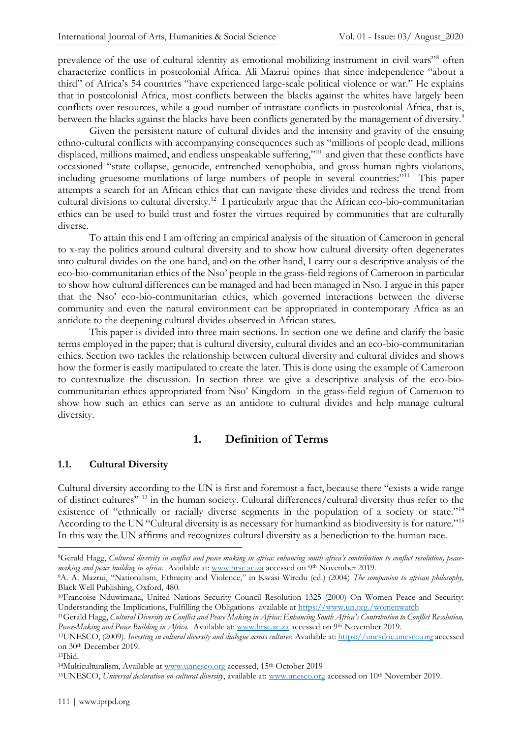prevalence of the use of cultural identity as emotional mobilizing instrument in civil wars"<sup>8</sup> often characterize conflicts in postcolonial Africa. Ali Mazrui opines that since independence "about a third" of Africa's 54 countries "have experienced large-scale political violence or war." He explains that in postcolonial Africa, most conflicts between the blacks against the whites have largely been conflicts over resources, while a good number of intrastate conflicts in postcolonial Africa, that is, between the blacks against the blacks have been conflicts generated by the management of diversity. $^9$ 

Given the persistent nature of cultural divides and the intensity and gravity of the ensuing ethno-cultural conflicts with accompanying consequences such as "millions of people dead, millions displaced, millions maimed, and endless unspeakable suffering,"<sup>10</sup> and given that these conflicts have occasioned "state collapse, genocide, entrenched xenophobia, and gross human rights violations, including gruesome mutilations of large numbers of people in several countries:"<sup>11</sup> This paper attempts a search for an African ethics that can navigate these divides and redress the trend from cultural divisions to cultural diversity.<sup>12</sup> I particularly argue that the African eco-bio-communitarian ethics can be used to build trust and foster the virtues required by communities that are culturally diverse.

To attain this end I am offering an empirical analysis of the situation of Cameroon in general to x-ray the politics around cultural diversity and to show how cultural diversity often degenerates into cultural divides on the one hand, and on the other hand, I carry out a descriptive analysis of the eco-bio-communitarian ethics of the Nso' people in the grass-field regions of Cameroon in particular to show how cultural differences can be managed and had been managed in Nso. I argue in this paper that the Nso' eco-bio-communitarian ethics, which governed interactions between the diverse community and even the natural environment can be appropriated in contemporary Africa as an antidote to the deepening cultural divides observed in African states.

This paper is divided into three main sections. In section one we define and clarify the basic terms employed in the paper; that is cultural diversity, cultural divides and an eco-bio-communitarian ethics. Section two tackles the relationship between cultural diversity and cultural divides and shows how the former is easily manipulated to create the later. This is done using the example of Cameroon to contextualize the discussion. In section three we give a descriptive analysis of the eco-biocommunitarian ethics appropriated from Nso' Kingdom in the grass-field region of Cameroon to show how such an ethics can serve as an antidote to cultural divides and help manage cultural diversity.

## **1. Definition of Terms**

#### **1.1. Cultural Diversity**

Cultural diversity according to the UN is first and foremost a fact, because there "exists a wide range of distinct cultures" <sup>13</sup> in the human society. Cultural differences/cultural diversity thus refer to the existence of "ethnically or racially diverse segments in the population of a society or state."<sup>14</sup> According to the UN "Cultural diversity is as necessary for humankind as biodiversity is for nature."<sup>15</sup> In this way the UN affirms and recognizes cultural diversity as a benediction to the human race.

<sup>8</sup>Gerald Hagg, *Cultural diversity in conflict and peace making in africa: enhancing south africa's contribution to conflict resolution, peacemaking and peace building in africa.* Available at: [www.hrsc.ac.za](http://www.hrsc.ac.za/) accessed on 9th November 2019.

<sup>9</sup>A. A. Mazrui, "Nationalism, Ethnicity and Violence," in Kwasi Wiredu (ed.) (2004) *The companion to african philosophy,* Black Well Publishing, Oxford, 480.

<sup>10</sup>Francoise Nduwimana, United Nations Security Council Resolution 1325 (2000) On Women Peace and Security: Understanding the Implications, Fulfilling the Obligations available at<https://www.un.org./womenwatch>

<sup>11</sup>Gerald Hagg, *Cultural Diversity in Conflict and Peace Making in Africa: Enhancing South Africa's Contribution to Conflict Resolution, Peace-Making and Peace Building in Africa.* Available at: [www.hrsc.ac.za](http://www.hrsc.ac.za/) accessed on 9th November 2019.

<sup>12</sup>UNESCO, (2009). *Investing in cultural diversity and dialogue across cultures*: Available at: [https://unesdoc.unesco.org](https://unesdoc.unesco.org/) accessed on 30th December 2019.

<sup>13</sup>Ibid.

<sup>&</sup>lt;sup>14</sup>Multiculturalism, Available a[t www.unnesco.org](http://www.unnesco.org/) accessed, 15<sup>th</sup> October 2019

<sup>15</sup>UNESCO, *Universal declaration on cultural diversity*, available at[: www.unesco.org](http://www.unesco.org/) accessed on 10th November 2019.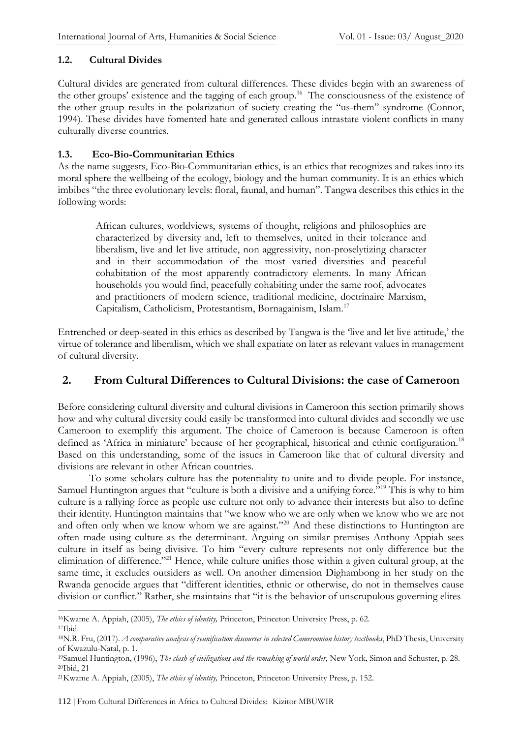### **1.2. Cultural Divides**

Cultural divides are generated from cultural differences. These divides begin with an awareness of the other groups' existence and the tagging of each group.<sup>16</sup> The consciousness of the existence of the other group results in the polarization of society creating the "us-them" syndrome (Connor, 1994). These divides have fomented hate and generated callous intrastate violent conflicts in many culturally diverse countries.

### **1.3. Eco-Bio-Communitarian Ethics**

As the name suggests, Eco-Bio-Communitarian ethics, is an ethics that recognizes and takes into its moral sphere the wellbeing of the ecology, biology and the human community. It is an ethics which imbibes "the three evolutionary levels: floral, faunal, and human". Tangwa describes this ethics in the following words:

African cultures, worldviews, systems of thought, religions and philosophies are characterized by diversity and, left to themselves, united in their tolerance and liberalism, live and let live attitude, non aggressivity, non-proselytizing character and in their accommodation of the most varied diversities and peaceful cohabitation of the most apparently contradictory elements. In many African households you would find, peacefully cohabiting under the same roof, advocates and practitioners of modern science, traditional medicine, doctrinaire Marxism, Capitalism, Catholicism, Protestantism, Bornagainism, Islam.<sup>17</sup>

Entrenched or deep-seated in this ethics as described by Tangwa is the 'live and let live attitude,' the virtue of tolerance and liberalism, which we shall expatiate on later as relevant values in management of cultural diversity.

### **2. From Cultural Differences to Cultural Divisions: the case of Cameroon**

Before considering cultural diversity and cultural divisions in Cameroon this section primarily shows how and why cultural diversity could easily be transformed into cultural divides and secondly we use Cameroon to exemplify this argument. The choice of Cameroon is because Cameroon is often defined as 'Africa in miniature' because of her geographical, historical and ethnic configuration.<sup>18</sup> Based on this understanding, some of the issues in Cameroon like that of cultural diversity and divisions are relevant in other African countries.

To some scholars culture has the potentiality to unite and to divide people. For instance, Samuel Huntington argues that "culture is both a divisive and a unifying force."<sup>19</sup> This is why to him culture is a rallying force as people use culture not only to advance their interests but also to define their identity. Huntington maintains that "we know who we are only when we know who we are not and often only when we know whom we are against."<sup>20</sup> And these distinctions to Huntington are often made using culture as the determinant. Arguing on similar premises Anthony Appiah sees culture in itself as being divisive. To him "every culture represents not only difference but the elimination of difference."<sup>21</sup> Hence, while culture unifies those within a given cultural group, at the same time, it excludes outsiders as well. On another dimension Dighambong in her study on the Rwanda genocide argues that "different identities, ethnic or otherwise, do not in themselves cause division or conflict." Rather, she maintains that "it is the behavior of unscrupulous governing elites

<sup>16</sup>Kwame A. Appiah, (2005), *The ethics of identity,* Princeton, Princeton University Press, p. 62.

<sup>17</sup>Ibid.

<sup>18</sup>N.R. Fru, (2017). *A comparative analysis of reunification discourses in selected Cameroonian history textbooks*, PhD Thesis, University of Kwazulu-Natal, p. 1.

<sup>19</sup>Samuel Huntington, (1996), *The clash of civilizations and the remaking of world order,* New York, Simon and Schuster, p. 28. <sup>20</sup>Ibid, 21

<sup>21</sup>Kwame A. Appiah, (2005), *The ethics of identity,* Princeton, Princeton University Press, p. 152.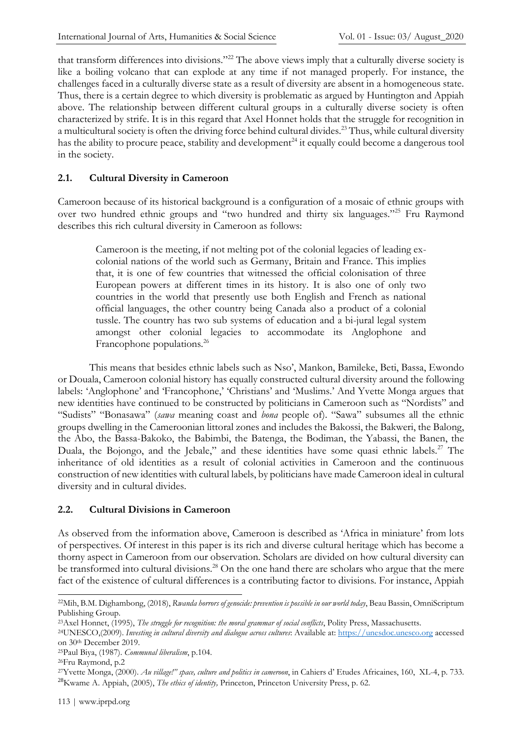that transform differences into divisions."<sup>22</sup> The above views imply that a culturally diverse society is like a boiling volcano that can explode at any time if not managed properly. For instance, the challenges faced in a culturally diverse state as a result of diversity are absent in a homogeneous state. Thus, there is a certain degree to which diversity is problematic as argued by Huntington and Appiah above. The relationship between different cultural groups in a culturally diverse society is often characterized by strife. It is in this regard that Axel Honnet holds that the struggle for recognition in a multicultural society is often the driving force behind cultural divides.<sup>23</sup> Thus, while cultural diversity has the ability to procure peace, stability and development<sup>24</sup> it equally could become a dangerous tool in the society.

### **2.1. Cultural Diversity in Cameroon**

Cameroon because of its historical background is a configuration of a mosaic of ethnic groups with over two hundred ethnic groups and "two hundred and thirty six languages."<sup>25</sup> Fru Raymond describes this rich cultural diversity in Cameroon as follows:

Cameroon is the meeting, if not melting pot of the colonial legacies of leading excolonial nations of the world such as Germany, Britain and France. This implies that, it is one of few countries that witnessed the official colonisation of three European powers at different times in its history. It is also one of only two countries in the world that presently use both English and French as national official languages, the other country being Canada also a product of a colonial tussle. The country has two sub systems of education and a bi-jural legal system amongst other colonial legacies to accommodate its Anglophone and Francophone populations.<sup>26</sup>

This means that besides ethnic labels such as Nso', Mankon, Bamileke, Beti, Bassa, Ewondo or Douala, Cameroon colonial history has equally constructed cultural diversity around the following labels: 'Anglophone' and 'Francophone,' 'Christians' and 'Muslims.' And Yvette Monga argues that new identities have continued to be constructed by politicians in Cameroon such as "Nordists" and "Sudists" "Bonasawa" (*sawa* meaning coast and *bona* people of). "Sawa" subsumes all the ethnic groups dwelling in the Cameroonian littoral zones and includes the Bakossi, the Bakweri, the Balong, the Abo, the Bassa-Bakoko, the Babimbi, the Batenga, the Bodiman, the Yabassi, the Banen, the Duala, the Bojongo, and the Jebale," and these identities have some quasi ethnic labels.<sup>27</sup> The inheritance of old identities as a result of colonial activities in Cameroon and the continuous construction of new identities with cultural labels, by politicians have made Cameroon ideal in cultural diversity and in cultural divides.

### **2.2. Cultural Divisions in Cameroon**

As observed from the information above, Cameroon is described as 'Africa in miniature' from lots of perspectives. Of interest in this paper is its rich and diverse cultural heritage which has become a thorny aspect in Cameroon from our observation. Scholars are divided on how cultural diversity can be transformed into cultural divisions.<sup>28</sup> On the one hand there are scholars who argue that the mere fact of the existence of cultural differences is a contributing factor to divisions. For instance, Appiah

<sup>22</sup>Mih, B.M. Dighambong, (2018), *Rwanda horrors of genocide: prevention is possible in our world today*, Beau Bassin, OmniScriptum Publishing Group.

<sup>23</sup>Axel Honnet, (1995), *The struggle for recognition: the moral grammar of social conflicts*, Polity Press, Massachusetts.

<sup>24</sup>UNESCO,(2009). *Investing in cultural diversity and dialogue across cultures*: Available at[: https://unesdoc.unesco.org](https://unesdoc.unesco.org/) accessed on 30th December 2019.

<sup>25</sup>Paul Biya, (1987). *Communal liberalism*, p.104.

<sup>26</sup>Fru Raymond, p.2

<sup>27</sup>Yvette Monga, (2000). *Au village!" space, culture and politics in cameroon*, in Cahiers d' Etudes Africaines, 160, XL-4, p. 733. <sup>28</sup>Kwame A. Appiah, (2005), *The ethics of identity,* Princeton, Princeton University Press, p. 62.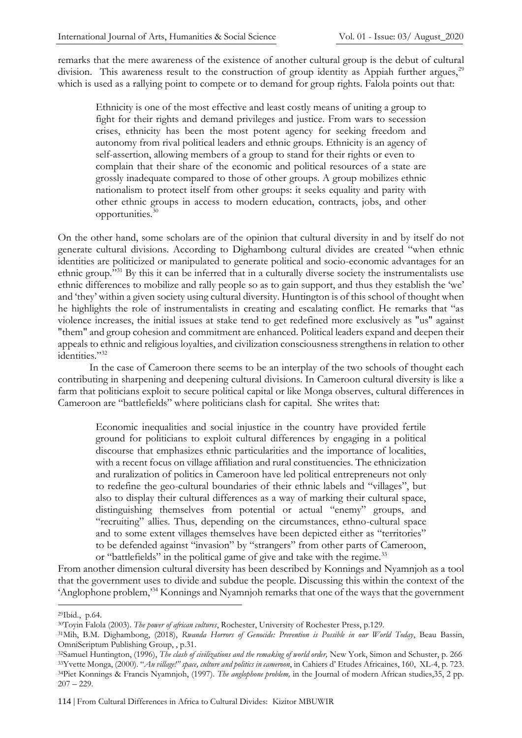remarks that the mere awareness of the existence of another cultural group is the debut of cultural division. This awareness result to the construction of group identity as Appiah further argues,<sup>29</sup> which is used as a rallying point to compete or to demand for group rights. Falola points out that:

Ethnicity is one of the most effective and least costly means of uniting a group to fight for their rights and demand privileges and justice. From wars to secession crises, ethnicity has been the most potent agency for seeking freedom and autonomy from rival political leaders and ethnic groups. Ethnicity is an agency of self-assertion, allowing members of a group to stand for their rights or even to complain that their share of the economic and political resources of a state are grossly inadequate compared to those of other groups. A group mobilizes ethnic nationalism to protect itself from other groups: it seeks equality and parity with other ethnic groups in access to modern education, contracts, jobs, and other opportunities.<sup>30</sup>

On the other hand, some scholars are of the opinion that cultural diversity in and by itself do not generate cultural divisions. According to Dighambong cultural divides are created "when ethnic identities are politicized or manipulated to generate political and socio-economic advantages for an ethnic group."<sup>31</sup> By this it can be inferred that in a culturally diverse society the instrumentalists use ethnic differences to mobilize and rally people so as to gain support, and thus they establish the 'we' and 'they' within a given society using cultural diversity. Huntington is of this school of thought when he highlights the role of instrumentalists in creating and escalating conflict. He remarks that "as violence increases, the initial issues at stake tend to get redefined more exclusively as "us" against "them" and group cohesion and commitment are enhanced. Political leaders expand and deepen their appeals to ethnic and religious loyalties, and civilization consciousness strengthens in relation to other identities."<sup>32</sup>

In the case of Cameroon there seems to be an interplay of the two schools of thought each contributing in sharpening and deepening cultural divisions. In Cameroon cultural diversity is like a farm that politicians exploit to secure political capital or like Monga observes, cultural differences in Cameroon are "battlefields" where politicians clash for capital. She writes that:

Economic inequalities and social injustice in the country have provided fertile ground for politicians to exploit cultural differences by engaging in a political discourse that emphasizes ethnic particularities and the importance of localities, with a recent focus on village affiliation and rural constituencies. The ethnicization and ruralization of politics in Cameroon have led political entrepreneurs not only to redefine the geo-cultural boundaries of their ethnic labels and "villages", but also to display their cultural differences as a way of marking their cultural space, distinguishing themselves from potential or actual "enemy" groups, and "recruiting" allies. Thus, depending on the circumstances, ethno-cultural space and to some extent villages themselves have been depicted either as "territories" to be defended against "invasion" by "strangers" from other parts of Cameroon, or "battlefields" in the political game of give and take with the regime.<sup>33</sup>

From another dimension cultural diversity has been described by Konnings and Nyamnjoh as a tool that the government uses to divide and subdue the people. Discussing this within the context of the 'Anglophone problem,'<sup>34</sup> Konnings and Nyamnjoh remarks that one of the ways that the government

<sup>29</sup>Ibid., p.64.

<sup>30</sup>Toyin Falola (2003). *The power of african cultures*, Rochester, University of Rochester Press, p.129.

<sup>31</sup>Mih, B.M. Dighambong, (2018), *Rwanda Horrors of Genocide: Prevention is Possible in our World Today*, Beau Bassin, OmniScriptum Publishing Group, , p.31.

<sup>32</sup>Samuel Huntington, (1996), *The clash of civilizations and the remaking of world order,* New York, Simon and Schuster, p. 266 <sup>33</sup>Yvette Monga, (2000). "*Au village!" space, culture and politics in cameroon*, in Cahiers d' Etudes Africaines, 160, XL-4, p. 723. <sup>34</sup>Piet Konnings & Francis Nyamnjoh, (1997). *The anglophone problem,* in the Journal of modern African studies,35, 2 pp.  $207 - 229.$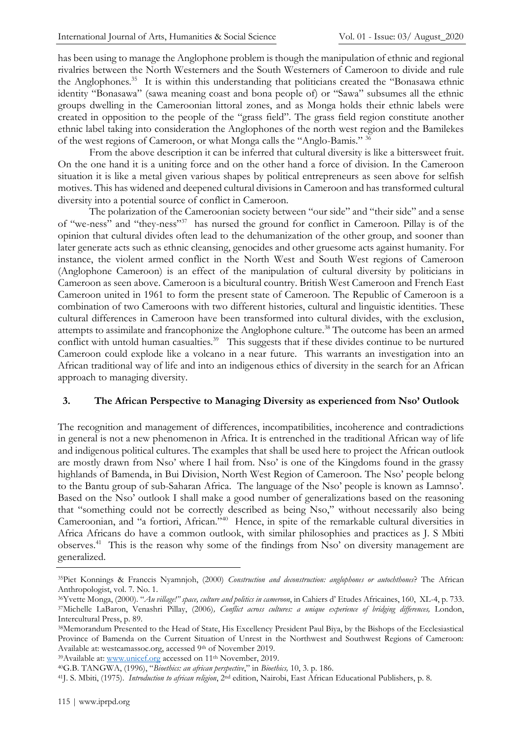has been using to manage the Anglophone problem is though the manipulation of ethnic and regional rivalries between the North Westerners and the South Westerners of Cameroon to divide and rule the Anglophones.<sup>35</sup> It is within this understanding that politicians created the "Bonasawa ethnic identity "Bonasawa" (sawa meaning coast and bona people of) or "Sawa" subsumes all the ethnic groups dwelling in the Cameroonian littoral zones, and as Monga holds their ethnic labels were created in opposition to the people of the "grass field". The grass field region constitute another ethnic label taking into consideration the Anglophones of the north west region and the Bamilekes of the west regions of Cameroon, or what Monga calls the "Anglo-Bamis." <sup>36</sup>

From the above description it can be inferred that cultural diversity is like a bittersweet fruit. On the one hand it is a uniting force and on the other hand a force of division. In the Cameroon situation it is like a metal given various shapes by political entrepreneurs as seen above for selfish motives. This has widened and deepened cultural divisions in Cameroon and has transformed cultural diversity into a potential source of conflict in Cameroon.

The polarization of the Cameroonian society between "our side" and "their side" and a sense of "we-ness" and "they-ness"<sup>37</sup> has nursed the ground for conflict in Cameroon. Pillay is of the opinion that cultural divides often lead to the dehumanization of the other group, and sooner than later generate acts such as ethnic cleansing, genocides and other gruesome acts against humanity. For instance, the violent armed conflict in the North West and South West regions of Cameroon (Anglophone Cameroon) is an effect of the manipulation of cultural diversity by politicians in Cameroon as seen above. Cameroon is a bicultural country. British West Cameroon and French East Cameroon united in 1961 to form the present state of Cameroon. The Republic of Cameroon is a combination of two Cameroons with two different histories, cultural and linguistic identities. These cultural differences in Cameroon have been transformed into cultural divides, with the exclusion, attempts to assimilate and francophonize the Anglophone culture.<sup>38</sup> The outcome has been an armed conflict with untold human casualties.<sup>39</sup> This suggests that if these divides continue to be nurtured Cameroon could explode like a volcano in a near future. This warrants an investigation into an African traditional way of life and into an indigenous ethics of diversity in the search for an African approach to managing diversity.

### **3. The African Perspective to Managing Diversity as experienced from Nso' Outlook**

The recognition and management of differences, incompatibilities, incoherence and contradictions in general is not a new phenomenon in Africa. It is entrenched in the traditional African way of life and indigenous political cultures. The examples that shall be used here to project the African outlook are mostly drawn from Nso' where I hail from. Nso' is one of the Kingdoms found in the grassy highlands of Bamenda, in Bui Division, North West Region of Cameroon. The Nso' people belong to the Bantu group of sub-Saharan Africa. The language of the Nso' people is known as Lamnso'. Based on the Nso' outlook I shall make a good number of generalizations based on the reasoning that "something could not be correctly described as being Nso," without necessarily also being Cameroonian, and "a fortiori, African."<sup>40</sup> Hence, in spite of the remarkable cultural diversities in Africa Africans do have a common outlook, with similar philosophies and practices as J. S Mbiti observes.<sup>41</sup> This is the reason why some of the findings from Nso' on diversity management are generalized.

<sup>39</sup>Available at: [www.unicef.org](http://www.unicef.org/) accessed on 11<sup>th</sup> November, 2019.

<sup>35</sup>Piet Konnings & Franccis Nyamnjoh, (2000) *Construction and deconstruction: anglophones or autochthones*? The African Anthropologist, vol. 7. No. 1.

<sup>36</sup>Yvette Monga, (2000). "*Au village!" space, culture and politics in cameroon*, in Cahiers d' Etudes Africaines, 160, XL-4, p. 733. <sup>37</sup>Michelle LaBaron, Venashri Pillay, (2006)*, Conflict across cultures: a unique experience of bridging differences,* London, Intercultural Press, p. 89.

<sup>38</sup>Memorandum Presented to the Head of State, His Excellency President Paul Biya, by the Bishops of the Ecclesiastical Province of Bamenda on the Current Situation of Unrest in the Northwest and Southwest Regions of Cameroon: Available at: westcamassoc.org, accessed 9<sup>th</sup> of November 2019.

<sup>40</sup>G.B. TANGWA, (1996), "*Bioethics: an african perspective*," in *Bioethics,* 10, 3. p. 186.

<sup>41</sup>J. S. Mbiti, (1975). *Introduction to african religion*, 2nd edition, Nairobi, East African Educational Publishers, p. 8.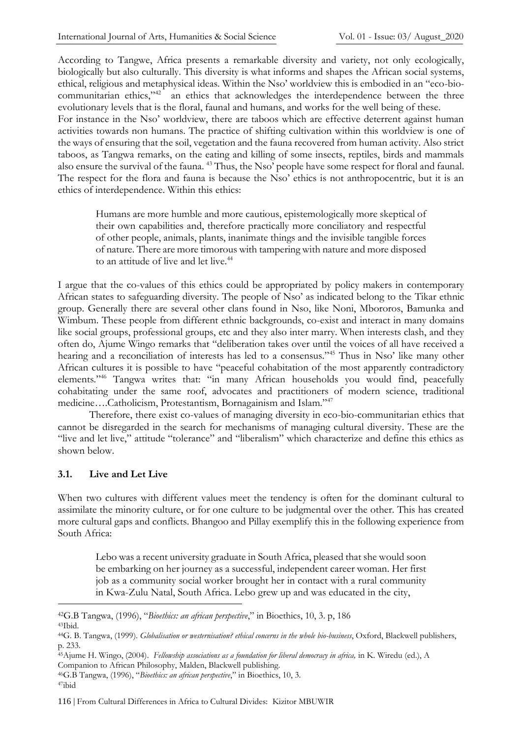According to Tangwe, Africa presents a remarkable diversity and variety, not only ecologically, biologically but also culturally. This diversity is what informs and shapes the African social systems, ethical, religious and metaphysical ideas. Within the Nso' worldview this is embodied in an "eco-biocommunitarian ethics,"<sup>42</sup> an ethics that acknowledges the interdependence between the three evolutionary levels that is the floral, faunal and humans, and works for the well being of these. For instance in the Nso' worldview, there are taboos which are effective deterrent against human activities towards non humans. The practice of shifting cultivation within this worldview is one of the ways of ensuring that the soil, vegetation and the fauna recovered from human activity. Also strict taboos, as Tangwa remarks, on the eating and killing of some insects, reptiles, birds and mammals also ensure the survival of the fauna. <sup>43</sup> Thus, the Nso' people have some respect for floral and faunal. The respect for the flora and fauna is because the Nso' ethics is not anthropocentric, but it is an ethics of interdependence. Within this ethics:

Humans are more humble and more cautious, epistemologically more skeptical of their own capabilities and, therefore practically more conciliatory and respectful of other people, animals, plants, inanimate things and the invisible tangible forces of nature. There are more timorous with tampering with nature and more disposed to an attitude of live and let live.<sup>44</sup>

I argue that the co-values of this ethics could be appropriated by policy makers in contemporary African states to safeguarding diversity. The people of Nso' as indicated belong to the Tikar ethnic group. Generally there are several other clans found in Nso, like Noni, Mbororos, Bamunka and Wimbum. These people from different ethnic backgrounds, co-exist and interact in many domains like social groups, professional groups, etc and they also inter marry. When interests clash, and they often do, Ajume Wingo remarks that "deliberation takes over until the voices of all have received a hearing and a reconciliation of interests has led to a consensus."<sup>45</sup> Thus in Nso' like many other African cultures it is possible to have "peaceful cohabitation of the most apparently contradictory elements."<sup>46</sup> Tangwa writes that: "in many African households you would find, peacefully cohabitating under the same roof, advocates and practitioners of modern science, traditional medicine....Catholicism, Protestantism, Bornagainism and Islam."<sup>47</sup>

Therefore, there exist co-values of managing diversity in eco-bio-communitarian ethics that cannot be disregarded in the search for mechanisms of managing cultural diversity. These are the "live and let live," attitude "tolerance" and "liberalism" which characterize and define this ethics as shown below.

### **3.1. Live and Let Live**

When two cultures with different values meet the tendency is often for the dominant cultural to assimilate the minority culture, or for one culture to be judgmental over the other. This has created more cultural gaps and conflicts. Bhangoo and Pillay exemplify this in the following experience from South Africa:

Lebo was a recent university graduate in South Africa, pleased that she would soon be embarking on her journey as a successful, independent career woman. Her first job as a community social worker brought her in contact with a rural community in Kwa-Zulu Natal, South Africa. Lebo grew up and was educated in the city,

<sup>42</sup>G.B Tangwa, (1996), "*Bioethics: an african perspective*," in Bioethics, 10, 3. p, 186 <sup>43</sup>Ibid.

<sup>44</sup>G. B. Tangwa, (1999). *Globalisation or westernisation? ethical concerns in the whole bio-business*, Oxford, Blackwell publishers, p. 233.

<sup>45</sup>Ajume H. Wingo, (2004). *Fellowship associations as a foundation for liberal democracy in africa,* in K. Wiredu (ed.), A Companion to African Philosophy, Malden, Blackwell publishing.

<sup>46</sup>G.B Tangwa, (1996), "*Bioethics: an african perspective*," in Bioethics, 10, 3. 47ibid

<sup>116</sup> | From Cultural Differences in Africa to Cultural Divides: Kizitor MBUWIR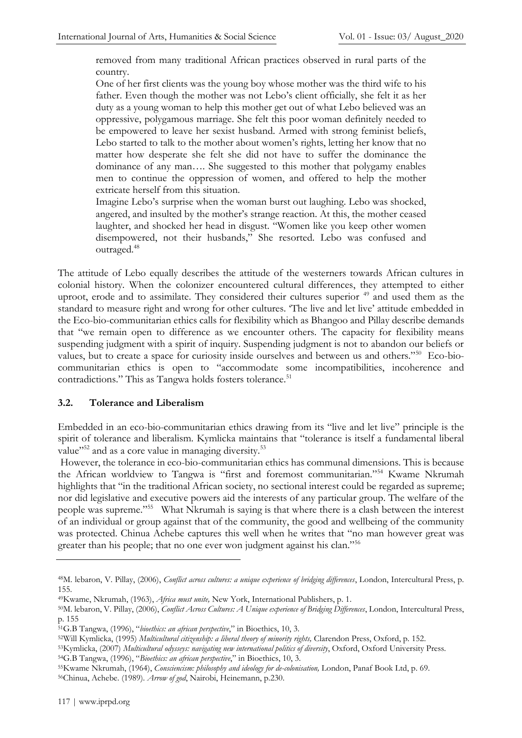removed from many traditional African practices observed in rural parts of the country.

One of her first clients was the young boy whose mother was the third wife to his father. Even though the mother was not Lebo's client officially, she felt it as her duty as a young woman to help this mother get out of what Lebo believed was an oppressive, polygamous marriage. She felt this poor woman definitely needed to be empowered to leave her sexist husband. Armed with strong feminist beliefs, Lebo started to talk to the mother about women's rights, letting her know that no matter how desperate she felt she did not have to suffer the dominance the dominance of any man…. She suggested to this mother that polygamy enables men to continue the oppression of women, and offered to help the mother extricate herself from this situation.

Imagine Lebo's surprise when the woman burst out laughing. Lebo was shocked, angered, and insulted by the mother's strange reaction. At this, the mother ceased laughter, and shocked her head in disgust. "Women like you keep other women disempowered, not their husbands," She resorted. Lebo was confused and outraged.<sup>48</sup>

The attitude of Lebo equally describes the attitude of the westerners towards African cultures in colonial history. When the colonizer encountered cultural differences, they attempted to either uproot, erode and to assimilate. They considered their cultures superior <sup>49</sup> and used them as the standard to measure right and wrong for other cultures. 'The live and let live' attitude embedded in the Eco-bio-communitarian ethics calls for flexibility which as Bhangoo and Pillay describe demands that "we remain open to difference as we encounter others. The capacity for flexibility means suspending judgment with a spirit of inquiry. Suspending judgment is not to abandon our beliefs or values, but to create a space for curiosity inside ourselves and between us and others."<sup>50</sup> Eco-biocommunitarian ethics is open to "accommodate some incompatibilities, incoherence and contradictions." This as Tangwa holds fosters tolerance.<sup>51</sup>

### **3.2. Tolerance and Liberalism**

Embedded in an eco-bio-communitarian ethics drawing from its "live and let live" principle is the spirit of tolerance and liberalism. Kymlicka maintains that "tolerance is itself a fundamental liberal value"<sup>52</sup> and as a core value in managing diversity.<sup>53</sup>

However, the tolerance in eco-bio-communitarian ethics has communal dimensions. This is because the African worldview to Tangwa is "first and foremost communitarian."<sup>54</sup> Kwame Nkrumah highlights that "in the traditional African society, no sectional interest could be regarded as supreme; nor did legislative and executive powers aid the interests of any particular group. The welfare of the people was supreme."<sup>55</sup> What Nkrumah is saying is that where there is a clash between the interest of an individual or group against that of the community, the good and wellbeing of the community was protected. Chinua Achebe captures this well when he writes that "no man however great was greater than his people; that no one ever won judgment against his clan."<sup>56</sup>

<sup>48</sup>M. lebaron, V. Pillay, (2006), *Conflict across cultures: a unique experience of bridging differences*, London, Intercultural Press, p. 155.

<sup>49</sup>Kwame, Nkrumah, (1963), *Africa must unite,* New York, International Publishers, p. 1.

<sup>50</sup>M. lebaron, V. Pillay, (2006), *Conflict Across Cultures: A Unique experience of Bridging Differences*, London, Intercultural Press, p. 155

<sup>51</sup>G.B Tangwa, (1996), "*bioethics: an african perspective*," in Bioethics, 10, 3.

<sup>52</sup>Will Kymlicka, (1995) *Multicultural citizenship: a liberal theory of minority rights,* Clarendon Press, Oxford, p. 152.

<sup>53</sup>Kymlicka, (2007) *Multicultural odysseys: navigating new international politics of diversity*, Oxford, Oxford University Press. <sup>54</sup>G.B Tangwa, (1996), "*Bioethics: an african perspective*," in Bioethics, 10, 3.

<sup>55</sup>Kwame Nkrumah, (1964), *Consciencism: philosophy and ideology for de-colonisation,* London, Panaf Book Ltd, p. 69.

<sup>56</sup>Chinua, Achebe. (1989). *Arrow of god*, Nairobi, Heinemann, p.230.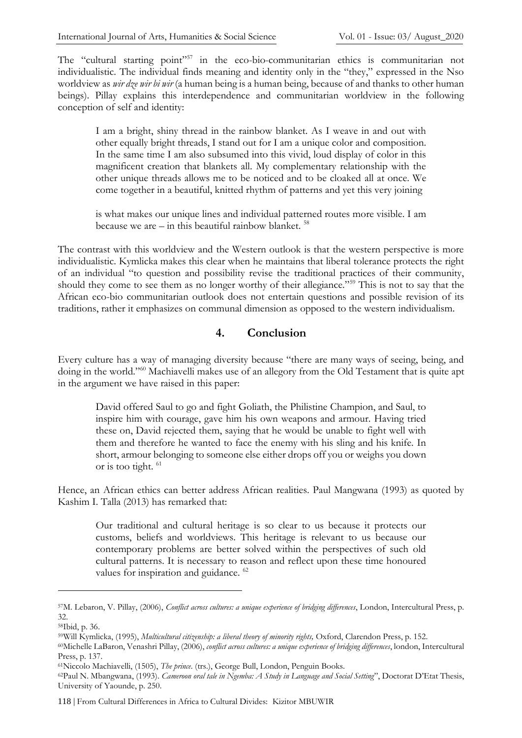The "cultural starting point"<sup>57</sup> in the eco-bio-communitarian ethics is communitarian not individualistic. The individual finds meaning and identity only in the "they," expressed in the Nso worldview as *wir dze wir bi wir* (a human being is a human being, because of and thanks to other human beings). Pillay explains this interdependence and communitarian worldview in the following conception of self and identity:

I am a bright, shiny thread in the rainbow blanket. As I weave in and out with other equally bright threads, I stand out for I am a unique color and composition. In the same time I am also subsumed into this vivid, loud display of color in this magnificent creation that blankets all. My complementary relationship with the other unique threads allows me to be noticed and to be cloaked all at once. We come together in a beautiful, knitted rhythm of patterns and yet this very joining

is what makes our unique lines and individual patterned routes more visible. I am because we are  $-$  in this beautiful rainbow blanket.  $58$ 

The contrast with this worldview and the Western outlook is that the western perspective is more individualistic. Kymlicka makes this clear when he maintains that liberal tolerance protects the right of an individual "to question and possibility revise the traditional practices of their community, should they come to see them as no longer worthy of their allegiance."<sup>59</sup> This is not to say that the African eco-bio communitarian outlook does not entertain questions and possible revision of its traditions, rather it emphasizes on communal dimension as opposed to the western individualism.

### **4. Conclusion**

Every culture has a way of managing diversity because "there are many ways of seeing, being, and doing in the world."<sup>60</sup> Machiavelli makes use of an allegory from the Old Testament that is quite apt in the argument we have raised in this paper:

David offered Saul to go and fight Goliath, the Philistine Champion, and Saul, to inspire him with courage, gave him his own weapons and armour. Having tried these on, David rejected them, saying that he would be unable to fight well with them and therefore he wanted to face the enemy with his sling and his knife. In short, armour belonging to someone else either drops off you or weighs you down or is too tight. <sup>61</sup>

Hence, an African ethics can better address African realities. Paul Mangwana (1993) as quoted by Kashim I. Talla (2013) has remarked that:

Our traditional and cultural heritage is so clear to us because it protects our customs, beliefs and worldviews. This heritage is relevant to us because our contemporary problems are better solved within the perspectives of such old cultural patterns. It is necessary to reason and reflect upon these time honoured values for inspiration and guidance. <sup>62</sup>

<sup>57</sup>M. Lebaron, V. Pillay, (2006), *Conflict across cultures: a unique experience of bridging differences*, London, Intercultural Press, p. 32.

<sup>58</sup>Ibid, p. 36.

<sup>59</sup>Will Kymlicka, (1995), *Multicultural citizenship: a liberal theory of minority rights,* Oxford, Clarendon Press, p. 152.

<sup>60</sup>Michelle LaBaron, Venashri Pillay, (2006), *conflict across cultures: a unique experience of bridging differences*, london, Intercultural Press, p. 137.

<sup>61</sup>Niccolo Machiavelli, (1505), *The prince*. (trs.), George Bull, London, Penguin Books.

<sup>62</sup>Paul N. Mbangwana, (1993). *Cameroon oral tale in Ngemba: A Study in Language and Social Setting*", Doctorat D'Etat Thesis, University of Yaounde, p. 250.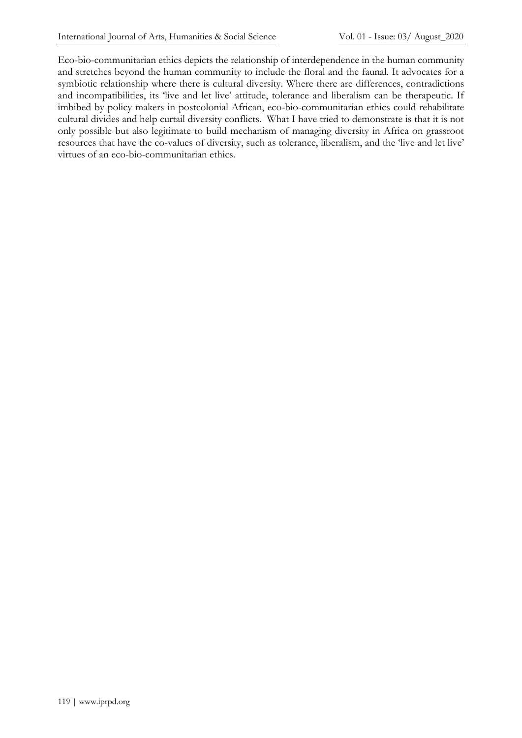Eco-bio-communitarian ethics depicts the relationship of interdependence in the human community and stretches beyond the human community to include the floral and the faunal. It advocates for a symbiotic relationship where there is cultural diversity. Where there are differences, contradictions and incompatibilities, its 'live and let live' attitude, tolerance and liberalism can be therapeutic. If imbibed by policy makers in postcolonial African, eco-bio-communitarian ethics could rehabilitate cultural divides and help curtail diversity conflicts. What I have tried to demonstrate is that it is not only possible but also legitimate to build mechanism of managing diversity in Africa on grassroot resources that have the co-values of diversity, such as tolerance, liberalism, and the 'live and let live' virtues of an eco-bio-communitarian ethics.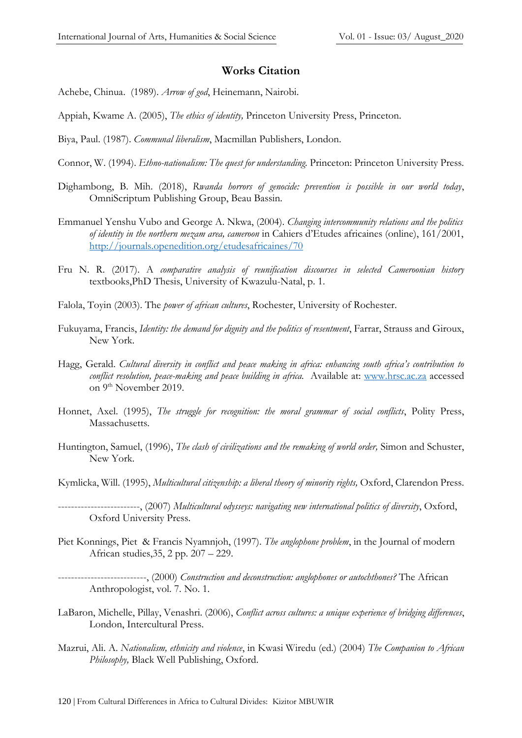#### **Works Citation**

- Achebe, Chinua. (1989). *Arrow of god*, Heinemann, Nairobi.
- Appiah, Kwame A. (2005), *The ethics of identity,* Princeton University Press, Princeton.
- Biya, Paul. (1987). *Communal liberalism*, Macmillan Publishers, London.
- Connor, W. (1994). *Ethno-nationalism: The quest for understanding.* Princeton: Princeton University Press.
- Dighambong, B. Mih. (2018), *Rwanda horrors of genocide: prevention is possible in our world today*, OmniScriptum Publishing Group, Beau Bassin.
- Emmanuel Yenshu Vubo and George A. Nkwa, (2004). *Changing intercommunity relations and the politics of identity in the northern mezam area, cameroon* in Cahiers d'Etudes africaines (online), 161/2001, <http://journals.openedition.org/etudesafricaines/70>
- Fru N. R. (2017). A *comparative analysis of reunification discourses in selected Cameroonian history*  textbooks,PhD Thesis, University of Kwazulu-Natal, p. 1.
- Falola, Toyin (2003). The *power of african cultures*, Rochester, University of Rochester.
- Fukuyama, Francis, *Identity: the demand for dignity and the politics of resentment*, Farrar, Strauss and Giroux, New York.
- Hagg, Gerald. *Cultural diversity in conflict and peace making in africa: enhancing south africa's contribution to conflict resolution, peace-making and peace building in africa.* Available at: [www.hrsc.ac.za](http://www.hrsc.ac.za/) accessed on 9<sup>th</sup> November 2019.
- Honnet, Axel. (1995), *The struggle for recognition: the moral grammar of social conflicts*, Polity Press, Massachusetts.
- Huntington, Samuel, (1996), *The clash of civilizations and the remaking of world order,* Simon and Schuster, New York.
- Kymlicka, Will. (1995), *Multicultural citizenship: a liberal theory of minority rights,* Oxford, Clarendon Press.
- -------------------------, (2007) *Multicultural odysseys: navigating new international politics of diversity*, Oxford, Oxford University Press.
- Piet Konnings, Piet & Francis Nyamnjoh, (1997). *The anglophone problem*, in the Journal of modern African studies,35, 2 pp. 207 – 229.
- ---------------------------, (2000) *Construction and deconstruction: anglophones or autochthones?* The African Anthropologist, vol. 7. No. 1.
- LaBaron, Michelle, Pillay, Venashri. (2006), *Conflict across cultures: a unique experience of bridging differences*, London, Intercultural Press.
- Mazrui, Ali. A. *Nationalism, ethnicity and violence*, in Kwasi Wiredu (ed.) (2004) *The Companion to African Philosophy,* Black Well Publishing, Oxford.